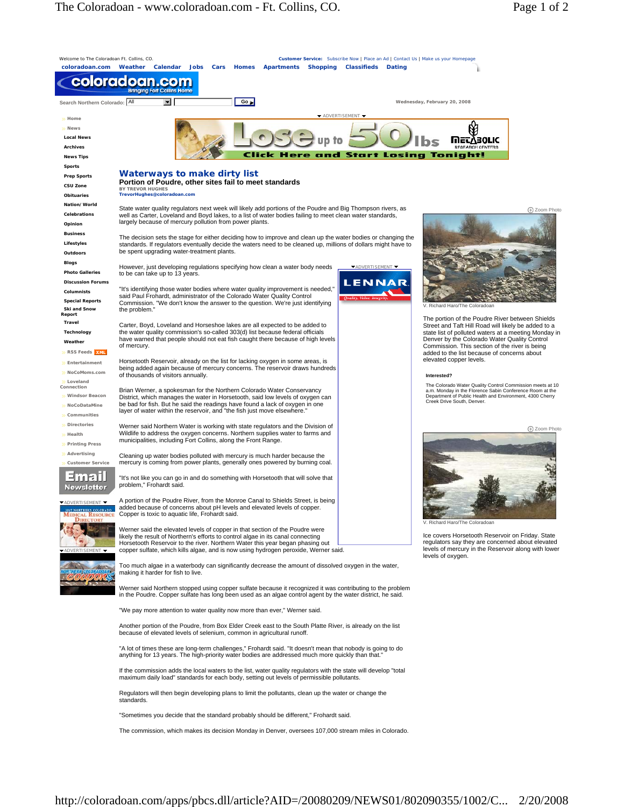

Regulators will then begin developing plans to limit the pollutants, clean up the water or change the standards.

"Sometimes you decide that the standard probably should be different," Frohardt said.

The commission, which makes its decision Monday in Denver, oversees 107,000 stream miles in Colorado.